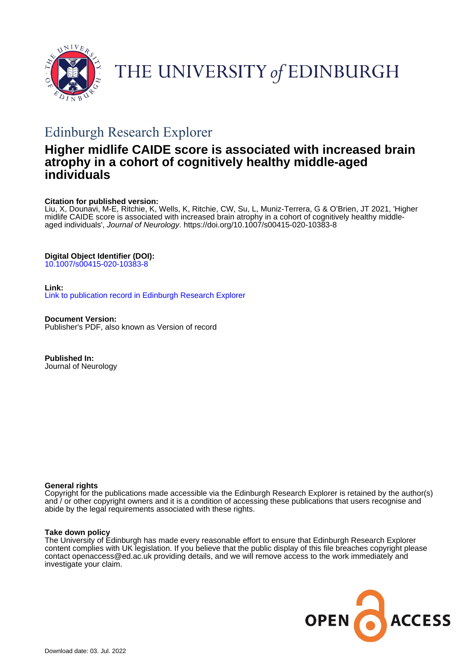

# THE UNIVERSITY of EDINBURGH

# Edinburgh Research Explorer

# **Higher midlife CAIDE score is associated with increased brain atrophy in a cohort of cognitively healthy middle-aged individuals**

# **Citation for published version:**

Liu, X, Dounavi, M-E, Ritchie, K, Wells, K, Ritchie, CW, Su, L, Muniz-Terrera, G & O'Brien, JT 2021, 'Higher midlife CAIDE score is associated with increased brain atrophy in a cohort of cognitively healthy middleaged individuals', Journal of Neurology. <https://doi.org/10.1007/s00415-020-10383-8>

# **Digital Object Identifier (DOI):**

[10.1007/s00415-020-10383-8](https://doi.org/10.1007/s00415-020-10383-8)

# **Link:**

[Link to publication record in Edinburgh Research Explorer](https://www.research.ed.ac.uk/en/publications/23f1010f-daf2-4e0c-b747-ad30043e5a41)

**Document Version:** Publisher's PDF, also known as Version of record

**Published In:** Journal of Neurology

### **General rights**

Copyright for the publications made accessible via the Edinburgh Research Explorer is retained by the author(s) and / or other copyright owners and it is a condition of accessing these publications that users recognise and abide by the legal requirements associated with these rights.

### **Take down policy**

The University of Edinburgh has made every reasonable effort to ensure that Edinburgh Research Explorer content complies with UK legislation. If you believe that the public display of this file breaches copyright please contact openaccess@ed.ac.uk providing details, and we will remove access to the work immediately and investigate your claim.

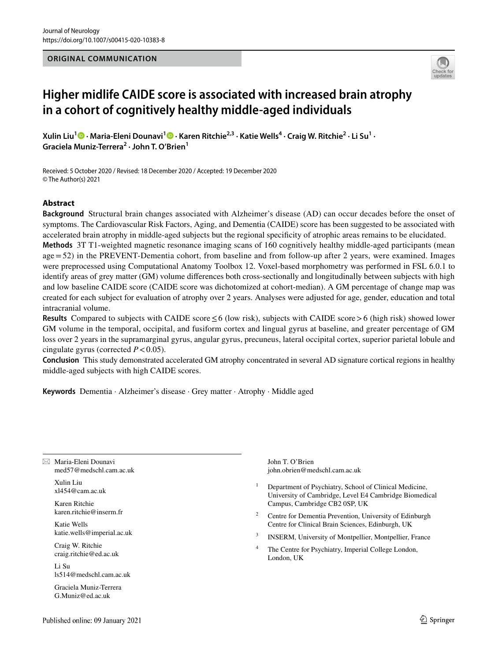#### **ORIGINAL COMMUNICATION**



# **Higher midlife CAIDE score is associated with increased brain atrophy in a cohort of cognitively healthy middle‑aged individuals**

 $X$ ulinLiu $^1$   $\bullet$   $\cdot$  Maria-Eleni Dounavi $^1$   $\bullet$   $\cdot$  Karen Ritchie<sup>2,3</sup>  $\cdot$  Katie Wells $^4$   $\cdot$  Craig W. Ritchie<sup>2</sup>  $\cdot$  Li Su $^1$   $\cdot$ **Graciela Muniz‑Terrera2 · John T. O'Brien1**

Received: 5 October 2020 / Revised: 18 December 2020 / Accepted: 19 December 2020 © The Author(s) 2021

# **Abstract**

**Background** Structural brain changes associated with Alzheimer's disease (AD) can occur decades before the onset of symptoms. The Cardiovascular Risk Factors, Aging, and Dementia (CAIDE) score has been suggested to be associated with accelerated brain atrophy in middle-aged subjects but the regional specifcity of atrophic areas remains to be elucidated.

**Methods** 3T T1-weighted magnetic resonance imaging scans of 160 cognitively healthy middle-aged participants (mean age=52) in the PREVENT-Dementia cohort, from baseline and from follow-up after 2 years, were examined. Images were preprocessed using Computational Anatomy Toolbox 12. Voxel-based morphometry was performed in FSL 6.0.1 to identify areas of grey matter (GM) volume diferences both cross-sectionally and longitudinally between subjects with high and low baseline CAIDE score (CAIDE score was dichotomized at cohort-median). A GM percentage of change map was created for each subject for evaluation of atrophy over 2 years. Analyses were adjusted for age, gender, education and total intracranial volume.

**Results** Compared to subjects with CAIDE score  $\leq 6$  (low risk), subjects with CAIDE score > 6 (high risk) showed lower GM volume in the temporal, occipital, and fusiform cortex and lingual gyrus at baseline, and greater percentage of GM loss over 2 years in the supramarginal gyrus, angular gyrus, precuneus, lateral occipital cortex, superior parietal lobule and cingulate gyrus (corrected  $P < 0.05$ ).

**Conclusion** This study demonstrated accelerated GM atrophy concentrated in several AD signature cortical regions in healthy middle-aged subjects with high CAIDE scores.

**Keywords** Dementia · Alzheimer's disease · Grey matter · Atrophy · Middle aged

 $\boxtimes$  Maria-Eleni Dounavi med57@medschl.cam.ac.uk

> Xulin Liu xl454@cam.ac.uk

Karen Ritchie karen.ritchie@inserm.fr

Katie Wells katie.wells@imperial.ac.uk

Craig W. Ritchie craig.ritchie@ed.ac.uk

Li Su ls514@medschl.cam.ac.uk

Graciela Muniz-Terrera G.Muniz@ed.ac.uk

John T. O'Brien john.obrien@medschl.cam.ac.uk

- <sup>1</sup> Department of Psychiatry, School of Clinical Medicine, University of Cambridge, Level E4 Cambridge Biomedical Campus, Cambridge CB2 0SP, UK
- Centre for Dementia Prevention, University of Edinburgh Centre for Clinical Brain Sciences, Edinburgh, UK
- INSERM, University of Montpellier, Montpellier, France
- <sup>4</sup> The Centre for Psychiatry, Imperial College London, London, UK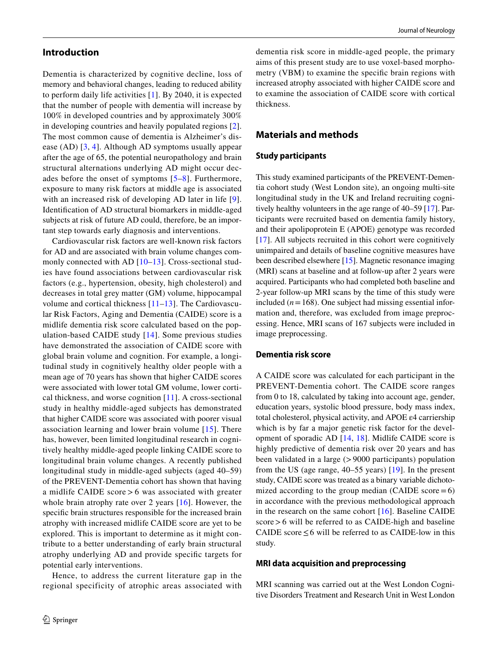### **Introduction**

Dementia is characterized by cognitive decline, loss of memory and behavioral changes, leading to reduced ability to perform daily life activities [[1\]](#page-8-0). By 2040, it is expected that the number of people with dementia will increase by 100% in developed countries and by approximately 300% in developing countries and heavily populated regions [[2](#page-8-1)]. The most common cause of dementia is Alzheimer's disease (AD) [[3,](#page-9-0) [4](#page-9-1)]. Although AD symptoms usually appear after the age of 65, the potential neuropathology and brain structural alternations underlying AD might occur decades before the onset of symptoms [[5–](#page-9-2)[8](#page-9-3)]. Furthermore, exposure to many risk factors at middle age is associated with an increased risk of developing AD later in life [[9](#page-9-4)]. Identifcation of AD structural biomarkers in middle-aged subjects at risk of future AD could, therefore, be an important step towards early diagnosis and interventions.

Cardiovascular risk factors are well-known risk factors for AD and are associated with brain volume changes com-monly connected with AD [[10](#page-9-5)[–13\]](#page-9-6). Cross-sectional studies have found associations between cardiovascular risk factors (e.g., hypertension, obesity, high cholesterol) and decreases in total grey matter (GM) volume, hippocampal volume and cortical thickness [[11](#page-9-7)[–13\]](#page-9-6). The Cardiovascular Risk Factors, Aging and Dementia (CAIDE) score is a midlife dementia risk score calculated based on the population-based CAIDE study [[14](#page-9-8)]. Some previous studies have demonstrated the association of CAIDE score with global brain volume and cognition. For example, a longitudinal study in cognitively healthy older people with a mean age of 70 years has shown that higher CAIDE scores were associated with lower total GM volume, lower cortical thickness, and worse cognition [[11](#page-9-7)]. A cross-sectional study in healthy middle-aged subjects has demonstrated that higher CAIDE score was associated with poorer visual association learning and lower brain volume [\[15\]](#page-9-9). There has, however, been limited longitudinal research in cognitively healthy middle-aged people linking CAIDE score to longitudinal brain volume changes. A recently published longitudinal study in middle-aged subjects (aged 40–59) of the PREVENT-Dementia cohort has shown that having a midlife CAIDE score > 6 was associated with greater whole brain atrophy rate over 2 years [\[16\]](#page-9-10). However, the specifc brain structures responsible for the increased brain atrophy with increased midlife CAIDE score are yet to be explored. This is important to determine as it might contribute to a better understanding of early brain structural atrophy underlying AD and provide specifc targets for potential early interventions.

Hence, to address the current literature gap in the regional specificity of atrophic areas associated with dementia risk score in middle-aged people, the primary aims of this present study are to use voxel-based morphometry (VBM) to examine the specifc brain regions with increased atrophy associated with higher CAIDE score and to examine the association of CAIDE score with cortical thickness.

# **Materials and methods**

#### **Study participants**

This study examined participants of the PREVENT-Dementia cohort study (West London site), an ongoing multi-site longitudinal study in the UK and Ireland recruiting cognitively healthy volunteers in the age range of 40–59 [\[17](#page-9-11)]. Participants were recruited based on dementia family history, and their apolipoprotein E (APOE) genotype was recorded [[17\]](#page-9-11). All subjects recruited in this cohort were cognitively unimpaired and details of baseline cognitive measures have been described elsewhere [\[15](#page-9-9)]. Magnetic resonance imaging (MRI) scans at baseline and at follow-up after 2 years were acquired. Participants who had completed both baseline and 2-year follow-up MRI scans by the time of this study were included  $(n=168)$ . One subject had missing essential information and, therefore, was excluded from image preprocessing. Hence, MRI scans of 167 subjects were included in image preprocessing.

### **Dementia risk score**

A CAIDE score was calculated for each participant in the PREVENT-Dementia cohort. The CAIDE score ranges from 0 to 18, calculated by taking into account age, gender, education years, systolic blood pressure, body mass index, total cholesterol, physical activity, and APOE ε4 carriership which is by far a major genetic risk factor for the development of sporadic AD [\[14,](#page-9-8) [18](#page-9-12)]. Midlife CAIDE score is highly predictive of dementia risk over 20 years and has been validated in a large (>9000 participants) population from the US (age range, 40–55 years) [[19\]](#page-9-13). In the present study, CAIDE score was treated as a binary variable dichotomized according to the group median (CAIDE score $=6$ ) in accordance with the previous methodological approach in the research on the same cohort  $[16]$  $[16]$ . Baseline CAIDE score > 6 will be referred to as CAIDE-high and baseline CAIDE score  $\leq 6$  will be referred to as CAIDE-low in this study.

#### **MRI data acquisition and preprocessing**

MRI scanning was carried out at the West London Cognitive Disorders Treatment and Research Unit in West London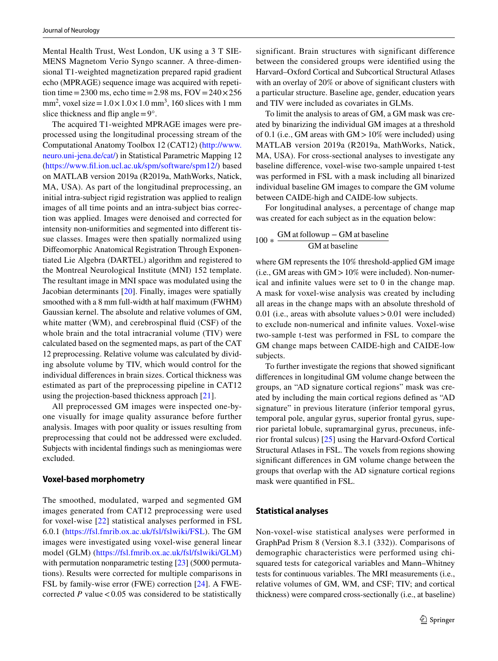Mental Health Trust, West London, UK using a 3 T SIE-MENS Magnetom Verio Syngo scanner. A three-dimensional T1-weighted magnetization prepared rapid gradient echo (MPRAGE) sequence image was acquired with repetition time=2300 ms, echo time=2.98 ms,  $FOV = 240 \times 256$ mm<sup>2</sup>, voxel size =  $1.0 \times 1.0 \times 1.0$  mm<sup>3</sup>, 160 slices with 1 mm slice thickness and flip angle  $=9^\circ$ .

The acquired T1-weighted MPRAGE images were preprocessed using the longitudinal processing stream of the Computational Anatomy Toolbox 12 (CAT12) ([http://www.](http://www.neuro.uni-jena.de/cat/) [neuro.uni-jena.de/cat/](http://www.neuro.uni-jena.de/cat/)) in Statistical Parametric Mapping 12 [\(https://www.fl.ion.ucl.ac.uk/spm/software/spm12/\)](https://www.fil.ion.ucl.ac.uk/spm/software/spm12/) based on MATLAB version 2019a (R2019a, MathWorks, Natick, MA, USA). As part of the longitudinal preprocessing, an initial intra-subject rigid registration was applied to realign images of all time points and an intra-subject bias correction was applied. Images were denoised and corrected for intensity non-uniformities and segmented into diferent tissue classes. Images were then spatially normalized using Difeomorphic Anatomical Registration Through Exponentiated Lie Algebra (DARTEL) algorithm and registered to the Montreal Neurological Institute (MNI) 152 template. The resultant image in MNI space was modulated using the Jacobian determinants [\[20\]](#page-9-14). Finally, images were spatially smoothed with a 8 mm full-width at half maximum (FWHM) Gaussian kernel. The absolute and relative volumes of GM, white matter (WM), and cerebrospinal fuid (CSF) of the whole brain and the total intracranial volume (TIV) were calculated based on the segmented maps, as part of the CAT 12 preprocessing. Relative volume was calculated by dividing absolute volume by TIV, which would control for the individual diferences in brain sizes. Cortical thickness was estimated as part of the preprocessing pipeline in CAT12 using the projection-based thickness approach [[21\]](#page-9-15).

All preprocessed GM images were inspected one-byone visually for image quality assurance before further analysis. Images with poor quality or issues resulting from preprocessing that could not be addressed were excluded. Subjects with incidental fndings such as meningiomas were excluded.

#### **Voxel‑based morphometry**

The smoothed, modulated, warped and segmented GM images generated from CAT12 preprocessing were used for voxel-wise [[22](#page-9-16)] statistical analyses performed in FSL 6.0.1 ([https://fsl.fmrib.ox.ac.uk/fsl/fslwiki/FSL\)](https://fsl.fmrib.ox.ac.uk/fsl/fslwiki/FSL). The GM images were investigated using voxel-wise general linear model (GLM) ([https://fsl.fmrib.ox.ac.uk/fsl/fslwiki/GLM\)](https://fsl.fmrib.ox.ac.uk/fsl/fslwiki/GLM) with permutation nonparametric testing [\[23](#page-9-17)] (5000 permutations). Results were corrected for multiple comparisons in FSL by family-wise error (FWE) correction [[24\]](#page-9-18). A FWEcorrected  $P$  value < 0.05 was considered to be statistically significant. Brain structures with significant difference between the considered groups were identifed using the Harvard–Oxford Cortical and Subcortical Structural Atlases with an overlay of 20% or above of significant clusters with a particular structure. Baseline age, gender, education years and TIV were included as covariates in GLMs.

To limit the analysis to areas of GM, a GM mask was created by binarizing the individual GM images at a threshold of 0.1 (i.e., GM areas with GM  $>10\%$  were included) using MATLAB version 2019a (R2019a, MathWorks, Natick, MA, USA). For cross-sectional analyses to investigate any baseline diference, voxel-wise two-sample unpaired t-test was performed in FSL with a mask including all binarized individual baseline GM images to compare the GM volume between CAIDE-high and CAIDE-low subjects.

For longitudinal analyses, a percentage of change map was created for each subject as in the equation below:

# $100 *$  GM at followup – GM at baseline GM at baseline

where GM represents the 10% threshold-applied GM image (i.e., GM areas with GM>10% were included). Non-numerical and infnite values were set to 0 in the change map. A mask for voxel-wise analysis was created by including all areas in the change maps with an absolute threshold of 0.01 (i.e., areas with absolute values > 0.01 were included) to exclude non-numerical and infnite values. Voxel-wise two-sample t-test was performed in FSL to compare the GM change maps between CAIDE-high and CAIDE-low subjects.

To further investigate the regions that showed signifcant diferences in longitudinal GM volume change between the groups, an "AD signature cortical regions" mask was created by including the main cortical regions defned as "AD signature" in previous literature (inferior temporal gyrus, temporal pole, angular gyrus, superior frontal gyrus, superior parietal lobule, supramarginal gyrus, precuneus, inferior frontal sulcus) [[25\]](#page-9-19) using the Harvard-Oxford Cortical Structural Atlases in FSL. The voxels from regions showing signifcant diferences in GM volume change between the groups that overlap with the AD signature cortical regions mask were quantifed in FSL.

#### **Statistical analyses**

Non-voxel-wise statistical analyses were performed in GraphPad Prism 8 (Version 8.3.1 (332)). Comparisons of demographic characteristics were performed using chisquared tests for categorical variables and Mann–Whitney tests for continuous variables. The MRI measurements (i.e., relative volumes of GM, WM, and CSF; TIV; and cortical thickness) were compared cross-sectionally (i.e., at baseline)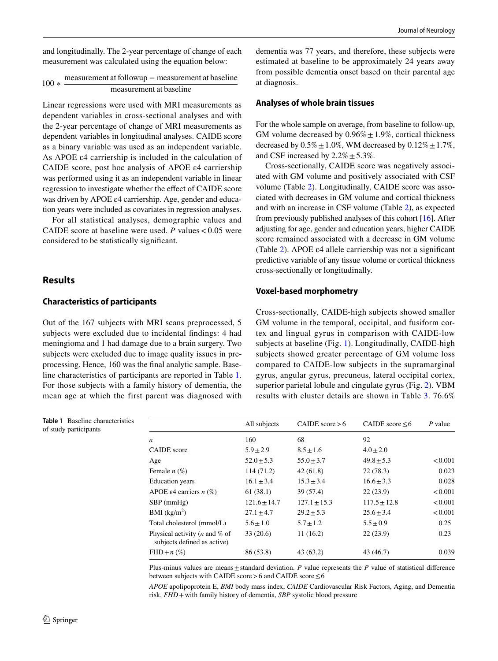and longitudinally. The 2-year percentage of change of each measurement was calculated using the equation below:

|  | measurement at followup – measurement at baseline<br>$100 * \frac{\text{maxum, at}}{\text{maxum}}$ |  |  |  |
|--|----------------------------------------------------------------------------------------------------|--|--|--|
|  | measurement at baseline                                                                            |  |  |  |

Linear regressions were used with MRI measurements as dependent variables in cross-sectional analyses and with the 2-year percentage of change of MRI measurements as dependent variables in longitudinal analyses. CAIDE score as a binary variable was used as an independent variable. As APOE ε4 carriership is included in the calculation of CAIDE score, post hoc analysis of APOE ε4 carriership was performed using it as an independent variable in linear regression to investigate whether the efect of CAIDE score was driven by APOE ε4 carriership. Age, gender and education years were included as covariates in regression analyses.

For all statistical analyses, demographic values and CAIDE score at baseline were used.  $P$  values  $< 0.05$  were considered to be statistically signifcant.

#### **Results**

#### **Characteristics of participants**

Out of the 167 subjects with MRI scans preprocessed, 5 subjects were excluded due to incidental fndings: 4 had meningioma and 1 had damage due to a brain surgery. Two subjects were excluded due to image quality issues in preprocessing. Hence, 160 was the fnal analytic sample. Baseline characteristics of participants are reported in Table [1.](#page-4-0) For those subjects with a family history of dementia, the mean age at which the first parent was diagnosed with

<span id="page-4-0"></span>**Table 1** Baseline characteristics of study participants

dementia was 77 years, and therefore, these subjects were estimated at baseline to be approximately 24 years away from possible dementia onset based on their parental age at diagnosis.

#### **Analyses of whole brain tissues**

For the whole sample on average, from baseline to follow-up, GM volume decreased by  $0.96\% \pm 1.9\%$ , cortical thickness decreased by  $0.5\% \pm 1.0\%$ , WM decreased by  $0.12\% \pm 1.7\%$ , and CSF increased by  $2.2\% \pm 5.3\%$ .

Cross-sectionally, CAIDE score was negatively associated with GM volume and positively associated with CSF volume (Table [2](#page-5-0)). Longitudinally, CAIDE score was associated with decreases in GM volume and cortical thickness and with an increase in CSF volume (Table [2](#page-5-0)), as expected from previously published analyses of this cohort [\[16](#page-9-10)]. After adjusting for age, gender and education years, higher CAIDE score remained associated with a decrease in GM volume (Table [2\)](#page-5-0). APOE ε4 allele carriership was not a signifcant predictive variable of any tissue volume or cortical thickness cross-sectionally or longitudinally.

#### **Voxel‑based morphometry**

Cross-sectionally, CAIDE-high subjects showed smaller GM volume in the temporal, occipital, and fusiform cortex and lingual gyrus in comparison with CAIDE-low subjects at baseline (Fig. [1](#page-5-1)). Longitudinally, CAIDE-high subjects showed greater percentage of GM volume loss compared to CAIDE-low subjects in the supramarginal gyrus, angular gyrus, precuneus, lateral occipital cortex, superior parietal lobule and cingulate gyrus (Fig. [2\)](#page-6-0). VBM results with cluster details are shown in Table [3](#page-6-1). 76.6%

|                                                                        | All subjects   | CAIDE $score > 6$ | CAIDE score $\leq 6$ | $P$ value |
|------------------------------------------------------------------------|----------------|-------------------|----------------------|-----------|
| $\boldsymbol{n}$                                                       | 160            | 68                | 92                   |           |
| <b>CAIDE</b> score                                                     | $5.9 \pm 2.9$  | $8.5 \pm 1.6$     | $4.0 \pm 2.0$        |           |
| Age                                                                    | $52.0 \pm 5.3$ | $55.0 \pm 3.7$    | $49.8 \pm 5.3$       | < 0.001   |
| Female $n(\%)$                                                         | 114(71.2)      | 42(61.8)          | 72(78.3)             | 0.023     |
| <b>Education</b> years                                                 | $16.1 \pm 3.4$ | $15.3 \pm 3.4$    | $16.6 \pm 3.3$       | 0.028     |
| APOE $\varepsilon$ 4 carriers <i>n</i> (%)                             | 61(38.1)       | 39 (57.4)         | 22(23.9)             | < 0.001   |
| $SBP$ (mmHg)                                                           | $121.6 + 14.7$ | $127.1 \pm 15.3$  | $117.5 \pm 12.8$     | < 0.001   |
| BMI (kg/m <sup>2</sup> )                                               | $27.1 \pm 4.7$ | $29.2 \pm 5.3$    | $25.6 \pm 3.4$       | < 0.001   |
| Total cholesterol (mmol/L)                                             | $5.6 \pm 1.0$  | $5.7 \pm 1.2$     | $5.5 \pm 0.9$        | 0.25      |
| Physical activity ( <i>n</i> and $%$ of<br>subjects defined as active) | 33(20.6)       | 11(16.2)          | 22(23.9)             | 0.23      |
| $FHD+n(\%)$                                                            | 86 (53.8)      | 43(63.2)          | 43 (46.7)            | 0.039     |

Plus-minus values are means $\pm$ standard deviation. *P* value represents the *P* value of statistical difference between subjects with CAIDE score > 6 and CAIDE score  $\leq 6$ 

*APOE* apolipoprotein E, *BMI* body mass index, *CAIDE* Cardiovascular Risk Factors, Aging, and Dementia risk, *FHD*+with family history of dementia, *SBP* systolic blood pressure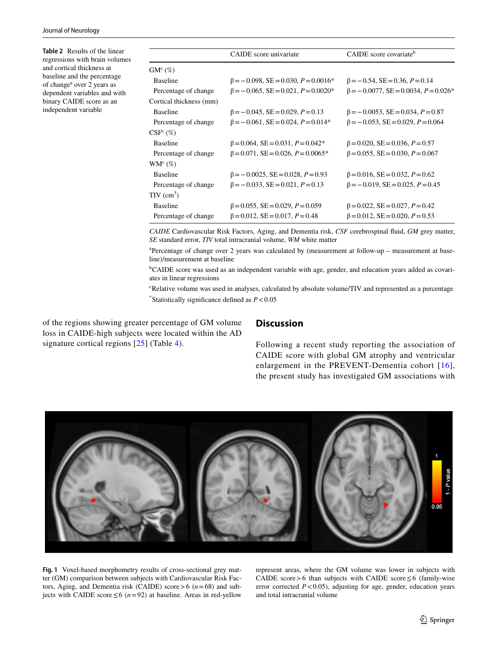<span id="page-5-0"></span>**Table 2** Results of the linear regressions with brain volumes and cortical thickness at baseline and the percentage of change<sup>a</sup> over 2 years as dependent variables and with binary CAIDE score as an independent variable

|                          | CAIDE score univariate                     | CAIDE score covariate <sup>b</sup>          |
|--------------------------|--------------------------------------------|---------------------------------------------|
| $GM^c$ (%)               |                                            |                                             |
| <b>Baseline</b>          | $\beta = -0.098$ , SE = 0.030, P = 0.0016* | $\beta = -0.54$ , SE = 0.36, P = 0.14       |
| Percentage of change     | $\beta = -0.065$ , SE = 0.021, P = 0.0020* | $\beta = -0.0077$ , SE = 0.0034, P = 0.026* |
| Cortical thickness (mm)  |                                            |                                             |
| <b>Baseline</b>          | $\beta = -0.045$ , SE = 0.029, P = 0.13    | $\beta = -0.0053$ , SE = 0.034, P = 0.87    |
| Percentage of change     | $\beta = -0.061$ , SE = 0.024, P = 0.014*  | $\beta = -0.053$ , SE = 0.029, P = 0.064    |
| CSF <sup>c</sup> (%)     |                                            |                                             |
| <b>Baseline</b>          | $\beta$ = 0.064, SE = 0.031, P = 0.042*    | $\beta$ = 0.020, SE = 0.036, P = 0.57       |
| Percentage of change     | $\beta$ = 0.071, SE = 0.026, P = 0.0065*   | $\beta$ = 0.055, SE = 0.030, P = 0.067      |
| $WM^{c}(\%)$             |                                            |                                             |
| <b>Baseline</b>          | $\beta = -0.0025$ , SE = 0.028, P = 0.93   | $\beta$ = 0.016, SE = 0.032, P = 0.62       |
| Percentage of change     | $\beta = -0.033$ , SE = 0.021, P = 0.13    | $\beta = -0.019$ , SE = 0.025, P = 0.45     |
| $TIV$ (cm <sup>3</sup> ) |                                            |                                             |
| <b>Baseline</b>          | $\beta$ = 0.055, SE = 0.029, P = 0.059     | $\beta$ = 0.022, SE = 0.027, P = 0.42       |
| Percentage of change     | $\beta$ = 0.012, SE = 0.017, P = 0.48      | $\beta$ = 0.012, SE = 0.020, P = 0.53       |
|                          |                                            |                                             |

*CAIDE* Cardiovascular Risk Factors, Aging, and Dementia risk, *CSF* cerebrospinal fuid, *GM* grey matter, *SE* standard error, *TIV* total intracranial volume, *WM* white matter

a Percentage of change over 2 years was calculated by (measurement at follow-up – measurement at baseline)/measurement at baseline

<sup>b</sup>CAIDE score was used as an independent variable with age, gender, and education years added as covariates in linear regressions

c Relative volume was used in analyses, calculated by absolute volume/TIV and represented as a percentage \* Statistically signifcance defned as *P*<0.05

of the regions showing greater percentage of GM volume loss in CAIDE-high subjects were located within the AD signature cortical regions [[25](#page-9-19)] (Table [4](#page-6-2)).

# **Discussion**

Following a recent study reporting the association of CAIDE score with global GM atrophy and ventricular enlargement in the PREVENT-Dementia cohort [[16](#page-9-10)], the present study has investigated GM associations with



<span id="page-5-1"></span>**Fig. 1** Voxel-based morphometry results of cross-sectional grey matter (GM) comparison between subjects with Cardiovascular Risk Factors, Aging, and Dementia risk (CAIDE) score>6 (*n*=68) and subjects with CAIDE score ≤6 ( $n=92$ ) at baseline. Areas in red-yellow represent areas, where the GM volume was lower in subjects with CAIDE score > 6 than subjects with CAIDE score  $\leq 6$  (family-wise error corrected  $P < 0.05$ ), adjusting for age, gender, education years and total intracranial volume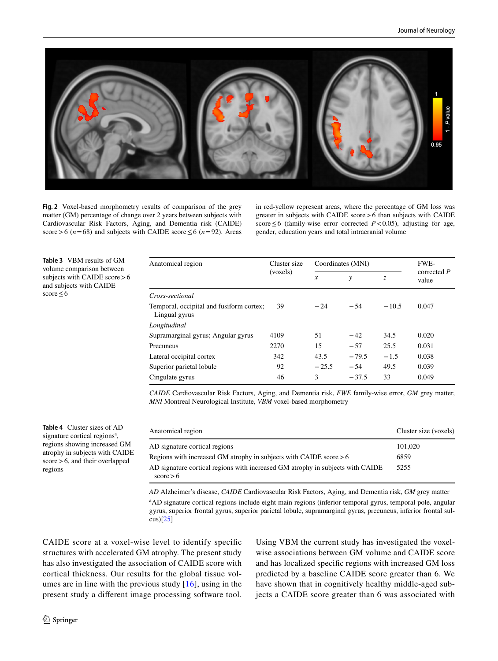

<span id="page-6-0"></span>**Fig. 2** Voxel-based morphometry results of comparison of the grey matter (GM) percentage of change over 2 years between subjects with Cardiovascular Risk Factors, Aging, and Dementia risk (CAIDE) score>6 ( $n=68$ ) and subjects with CAIDE score  $\leq$  6 ( $n=92$ ). Areas in red-yellow represent areas, where the percentage of GM loss was greater in subjects with CAIDE score>6 than subjects with CAIDE score≤6 (family-wise error corrected *P*<0.05), adjusting for age, gender, education years and total intracranial volume

<span id="page-6-1"></span>**Table 3** VBM results of GM volume comparison between subjects with CAIDE score > 6 and subjects with CAIDE score $\leq 6$ 

| Anatomical region                                         | Cluster size<br>(voxels) | Coordinates (MNI) |         |         | FWE-                   |
|-----------------------------------------------------------|--------------------------|-------------------|---------|---------|------------------------|
|                                                           |                          | $\boldsymbol{x}$  | y       | Z.      | corrected $P$<br>value |
| Cross-sectional                                           |                          |                   |         |         |                        |
| Temporal, occipital and fusiform cortex;<br>Lingual gyrus | 39                       | $-24$             | $-54$   | $-10.5$ | 0.047                  |
| Longitudinal                                              |                          |                   |         |         |                        |
| Supramarginal gyrus; Angular gyrus                        | 4109                     | 51                | $-42$   | 34.5    | 0.020                  |
| Precuneus                                                 | 2270                     | 15                | $-57$   | 25.5    | 0.031                  |
| Lateral occipital cortex                                  | 342                      | 43.5              | $-79.5$ | $-1.5$  | 0.038                  |
| Superior parietal lobule                                  | 92                       | $-25.5$           | $-54$   | 49.5    | 0.039                  |
| Cingulate gyrus                                           | 46                       | 3                 | $-37.5$ | 33      | 0.049                  |

*CAIDE* Cardiovascular Risk Factors, Aging, and Dementia risk, *FWE* family-wise error, *GM* grey matter, *MNI* Montreal Neurological Institute, *VBM* voxel-based morphometry

<span id="page-6-2"></span>**Table 4** Cluster sizes of AD signature cortical regions<sup>a</sup>, regions showing increased GM atrophy in subjects with CAIDE score>6, and their overlapped regions

| Anatomical region                                                                             | Cluster size (voxels) |
|-----------------------------------------------------------------------------------------------|-----------------------|
| AD signature cortical regions                                                                 | 101,020               |
| Regions with increased GM atrophy in subjects with CAIDE score $> 6$                          | 6859                  |
| AD signature cortical regions with increased GM atrophy in subjects with CAIDE<br>score $> 6$ | 5255                  |

*AD* Alzheimer's disease, *CAIDE* Cardiovascular Risk Factors, Aging, and Dementia risk, *GM* grey matter <sup>a</sup>AD signature cortical regions include eight main regions (inferior temporal gyrus, temporal pole, angular gyrus, superior frontal gyrus, superior parietal lobule, supramarginal gyrus, precuneus, inferior frontal sulcus)[[25](#page-9-19)]

CAIDE score at a voxel-wise level to identify specifc structures with accelerated GM atrophy. The present study has also investigated the association of CAIDE score with cortical thickness. Our results for the global tissue volumes are in line with the previous study [[16](#page-9-10)], using in the present study a diferent image processing software tool. Using VBM the current study has investigated the voxelwise associations between GM volume and CAIDE score and has localized specifc regions with increased GM loss predicted by a baseline CAIDE score greater than 6. We have shown that in cognitively healthy middle-aged subjects a CAIDE score greater than 6 was associated with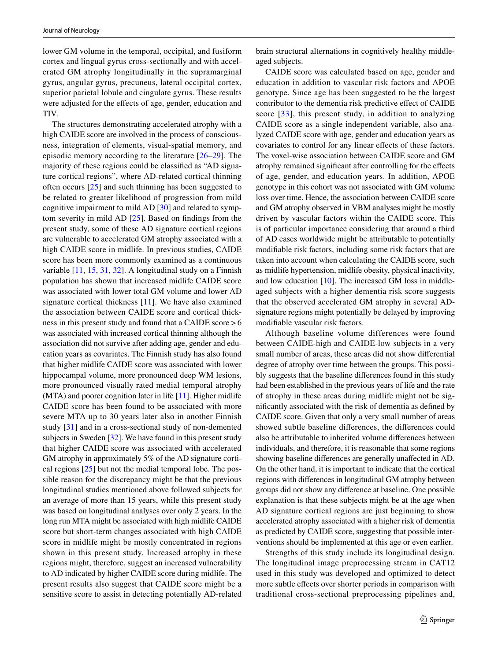lower GM volume in the temporal, occipital, and fusiform cortex and lingual gyrus cross-sectionally and with accelerated GM atrophy longitudinally in the supramarginal gyrus, angular gyrus, precuneus, lateral occipital cortex, superior parietal lobule and cingulate gyrus. These results were adjusted for the effects of age, gender, education and TIV.

The structures demonstrating accelerated atrophy with a high CAIDE score are involved in the process of consciousness, integration of elements, visual-spatial memory, and episodic memory according to the literature [[26–](#page-9-20)[29](#page-9-21)]. The majority of these regions could be classifed as "AD signature cortical regions", where AD-related cortical thinning often occurs [[25\]](#page-9-19) and such thinning has been suggested to be related to greater likelihood of progression from mild cognitive impairment to mild AD [\[30](#page-9-22)] and related to symptom severity in mild AD [\[25](#page-9-19)]. Based on fndings from the present study, some of these AD signature cortical regions are vulnerable to accelerated GM atrophy associated with a high CAIDE score in midlife. In previous studies, CAIDE score has been more commonly examined as a continuous variable [[11,](#page-9-7) [15,](#page-9-9) [31,](#page-10-0) [32](#page-10-1)]. A longitudinal study on a Finnish population has shown that increased midlife CAIDE score was associated with lower total GM volume and lower AD signature cortical thickness [[11\]](#page-9-7). We have also examined the association between CAIDE score and cortical thickness in this present study and found that a CAIDE score>6 was associated with increased cortical thinning although the association did not survive after adding age, gender and education years as covariates. The Finnish study has also found that higher midlife CAIDE score was associated with lower hippocampal volume, more pronounced deep WM lesions, more pronounced visually rated medial temporal atrophy (MTA) and poorer cognition later in life [\[11](#page-9-7)]. Higher midlife CAIDE score has been found to be associated with more severe MTA up to 30 years later also in another Finnish study [\[31](#page-10-0)] and in a cross-sectional study of non-demented subjects in Sweden [[32\]](#page-10-1). We have found in this present study that higher CAIDE score was associated with accelerated GM atrophy in approximately 5% of the AD signature cortical regions [[25](#page-9-19)] but not the medial temporal lobe. The possible reason for the discrepancy might be that the previous longitudinal studies mentioned above followed subjects for an average of more than 15 years, while this present study was based on longitudinal analyses over only 2 years. In the long run MTA might be associated with high midlife CAIDE score but short-term changes associated with high CAIDE score in midlife might be mostly concentrated in regions shown in this present study. Increased atrophy in these regions might, therefore, suggest an increased vulnerability to AD indicated by higher CAIDE score during midlife. The present results also suggest that CAIDE score might be a sensitive score to assist in detecting potentially AD-related brain structural alternations in cognitively healthy middleaged subjects.

CAIDE score was calculated based on age, gender and education in addition to vascular risk factors and APOE genotype. Since age has been suggested to be the largest contributor to the dementia risk predictive efect of CAIDE score [[33\]](#page-10-2), this present study, in addition to analyzing CAIDE score as a single independent variable, also analyzed CAIDE score with age, gender and education years as covariates to control for any linear efects of these factors. The voxel-wise association between CAIDE score and GM atrophy remained signifcant after controlling for the efects of age, gender, and education years. In addition, APOE genotype in this cohort was not associated with GM volume loss over time. Hence, the association between CAIDE score and GM atrophy observed in VBM analyses might be mostly driven by vascular factors within the CAIDE score. This is of particular importance considering that around a third of AD cases worldwide might be attributable to potentially modifable risk factors, including some risk factors that are taken into account when calculating the CAIDE score, such as midlife hypertension, midlife obesity, physical inactivity, and low education [[10\]](#page-9-5). The increased GM loss in middleaged subjects with a higher dementia risk score suggests that the observed accelerated GM atrophy in several ADsignature regions might potentially be delayed by improving modifable vascular risk factors.

Although baseline volume differences were found between CAIDE-high and CAIDE-low subjects in a very small number of areas, these areas did not show diferential degree of atrophy over time between the groups. This possibly suggests that the baseline diferences found in this study had been established in the previous years of life and the rate of atrophy in these areas during midlife might not be signifcantly associated with the risk of dementia as defned by CAIDE score. Given that only a very small number of areas showed subtle baseline diferences, the diferences could also be attributable to inherited volume diferences between individuals, and therefore, it is reasonable that some regions showing baseline diferences are generally unafected in AD. On the other hand, it is important to indicate that the cortical regions with diferences in longitudinal GM atrophy between groups did not show any diference at baseline. One possible explanation is that these subjects might be at the age when AD signature cortical regions are just beginning to show accelerated atrophy associated with a higher risk of dementia as predicted by CAIDE score, suggesting that possible interventions should be implemented at this age or even earlier.

Strengths of this study include its longitudinal design. The longitudinal image preprocessing stream in CAT12 used in this study was developed and optimized to detect more subtle efects over shorter periods in comparison with traditional cross-sectional preprocessing pipelines and,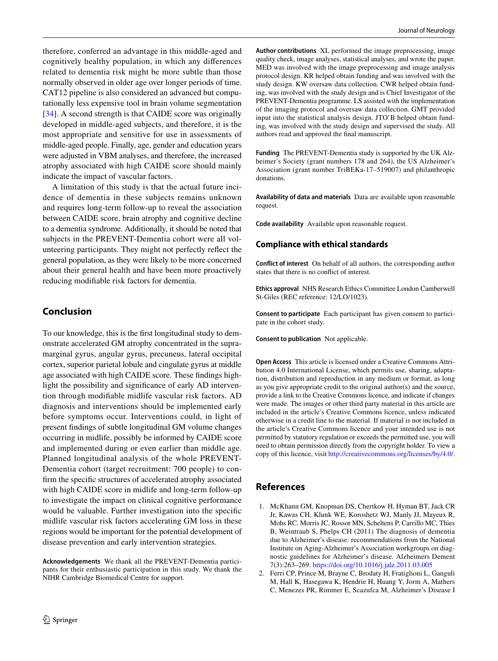therefore, conferred an advantage in this middle-aged and cognitively healthy population, in which any diferences related to dementia risk might be more subtle than those normally observed in older age over longer periods of time. CAT12 pipeline is also considered an advanced but computationally less expensive tool in brain volume segmentation [\[34\]](#page-10-3). A second strength is that CAIDE score was originally developed in middle-aged subjects, and therefore, it is the most appropriate and sensitive for use in assessments of middle-aged people. Finally, age, gender and education years were adjusted in VBM analyses, and therefore, the increased atrophy associated with high CAIDE score should mainly indicate the impact of vascular factors.

A limitation of this study is that the actual future incidence of dementia in these subjects remains unknown and requires long-term follow-up to reveal the association between CAIDE score, brain atrophy and cognitive decline to a dementia syndrome. Additionally, it should be noted that subjects in the PREVENT-Dementia cohort were all volunteering participants. They might not perfectly refect the general population, as they were likely to be more concerned about their general health and have been more proactively reducing modifable risk factors for dementia.

# **Conclusion**

To our knowledge, this is the frst longitudinal study to demonstrate accelerated GM atrophy concentrated in the supramarginal gyrus, angular gyrus, precuneus, lateral occipital cortex, superior parietal lobule and cingulate gyrus at middle age associated with high CAIDE score. These fndings highlight the possibility and signifcance of early AD intervention through modifable midlife vascular risk factors. AD diagnosis and interventions should be implemented early before symptoms occur. Interventions could, in light of present fndings of subtle longitudinal GM volume changes occurring in midlife, possibly be informed by CAIDE score and implemented during or even earlier than middle age. Planned longitudinal analysis of the whole PREVENT-Dementia cohort (target recruitment: 700 people) to confrm the specifc structures of accelerated atrophy associated with high CAIDE score in midlife and long-term follow-up to investigate the impact on clinical cognitive performance would be valuable. Further investigation into the specifc midlife vascular risk factors accelerating GM loss in these regions would be important for the potential development of disease prevention and early intervention strategies.

**Acknowledgements** We thank all the PREVENT-Dementia participants for their enthusiastic participation in this study. We thank the NIHR Cambridge Biomedical Centre for support.

**Author contributions** XL performed the image preprocessing, image quality check, image analyses, statistical analyses, and wrote the paper. MED was involved with the image preprocessing and image analysis protocol design. KR helped obtain funding and was involved with the study design. KW oversaw data collection. CWR helped obtain funding, was involved with the study design and is Chief Investigator of the PREVENT-Dementia programme. LS assisted with the implementation of the imaging protocol and oversaw data collection. GMT provided input into the statistical analysis design. JTO'B helped obtain funding, was involved with the study design and supervised the study. All authors read and approved the fnal manuscript.

**Funding** The PREVENT-Dementia study is supported by the UK Alzheimer's Society (grant numbers 178 and 264), the US Alzheimer's Association (grant number TriBEKa-17–519007) and philanthropic donations.

**Availability of data and materials** Data are available upon reasonable request.

**Code availability** Available upon reasonable request.

#### **Compliance with ethical standards**

**Conflict of interest** On behalf of all authors, the corresponding author states that there is no confict of interest.

**Ethics approval** NHS Research Ethics Committee London Camberwell St-Giles (REC reference: 12/LO/1023).

**Consent to participate** Each participant has given consent to participate in the cohort study.

**Consent to publication** Not applicable.

**Open Access** This article is licensed under a Creative Commons Attribution 4.0 International License, which permits use, sharing, adaptation, distribution and reproduction in any medium or format, as long as you give appropriate credit to the original author(s) and the source, provide a link to the Creative Commons licence, and indicate if changes were made. The images or other third party material in this article are included in the article's Creative Commons licence, unless indicated otherwise in a credit line to the material. If material is not included in the article's Creative Commons licence and your intended use is not permitted by statutory regulation or exceeds the permitted use, you will need to obtain permission directly from the copyright holder. To view a copy of this licence, visit<http://creativecommons.org/licenses/by/4.0/>.

#### **References**

- <span id="page-8-0"></span>1. McKhann GM, Knopman DS, Chertkow H, Hyman BT, Jack CR Jr, Kawas CH, Klunk WE, Koroshetz WJ, Manly JJ, Mayeux R, Mohs RC, Morris JC, Rossor MN, Scheltens P, Carrillo MC, Thies B, Weintraub S, Phelps CH (2011) The diagnosis of dementia due to Alzheimer's disease: recommendations from the National Institute on Aging-Alzheimer's Association workgroups on diagnostic guidelines for Alzheimer's disease. Alzheimers Dement 7(3):263–269.<https://doi.org/10.1016/j.jalz.2011.03.005>
- <span id="page-8-1"></span>2. Ferri CP, Prince M, Brayne C, Brodaty H, Fratiglioni L, Ganguli M, Hall K, Hasegawa K, Hendrie H, Huang Y, Jorm A, Mathers C, Menezes PR, Rimmer E, Scazufca M, Alzheimer's Disease I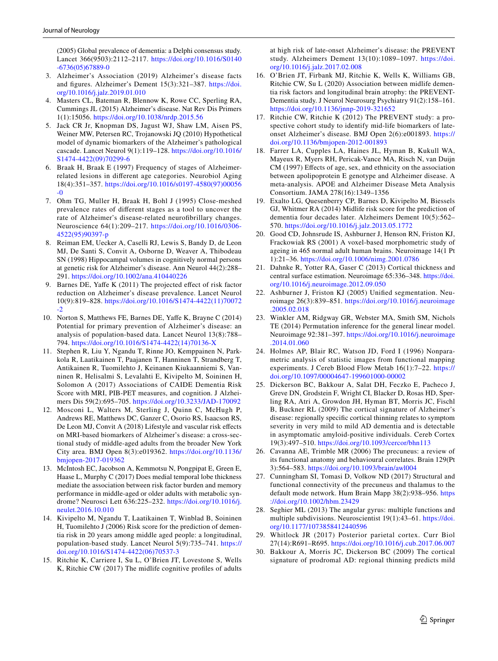(2005) Global prevalence of dementia: a Delphi consensus study. Lancet 366(9503):2112–2117. [https://doi.org/10.1016/S0140](https://doi.org/10.1016/S0140-6736(05)67889-0) [-6736\(05\)67889-0](https://doi.org/10.1016/S0140-6736(05)67889-0)

- <span id="page-9-0"></span>3. Alzheimer's Association (2019) Alzheimer's disease facts and fgures. Alzheimer's Dement 15(3):321–387. [https://doi.](https://doi.org/10.1016/j.jalz.2019.01.010) [org/10.1016/j.jalz.2019.01.010](https://doi.org/10.1016/j.jalz.2019.01.010)
- <span id="page-9-1"></span>4. Masters CL, Bateman R, Blennow K, Rowe CC, Sperling RA, Cummings JL (2015) Alzheimer's disease. Nat Rev Dis Primers 1(1):15056. <https://doi.org/10.1038/nrdp.2015.56>
- <span id="page-9-2"></span>5. Jack CR Jr, Knopman DS, Jagust WJ, Shaw LM, Aisen PS, Weiner MW, Petersen RC, Trojanowski JQ (2010) Hypothetical model of dynamic biomarkers of the Alzheimer's pathological cascade. Lancet Neurol 9(1):119–128. [https://doi.org/10.1016/](https://doi.org/10.1016/S1474-4422(09)70299-6) [S1474-4422\(09\)70299-6](https://doi.org/10.1016/S1474-4422(09)70299-6)
- 6. Braak H, Braak E (1997) Frequency of stages of Alzheimerrelated lesions in diferent age categories. Neurobiol Aging 18(4):351–357. [https://doi.org/10.1016/s0197-4580\(97\)00056](https://doi.org/10.1016/s0197-4580(97)00056-0)  $-0$
- 7. Ohm TG, Muller H, Braak H, Bohl J (1995) Close-meshed prevalence rates of diferent stages as a tool to uncover the rate of Alzheimer's disease-related neurofbrillary changes. Neuroscience 64(1):209–217. [https://doi.org/10.1016/0306-](https://doi.org/10.1016/0306-4522(95)90397-p) [4522\(95\)90397-p](https://doi.org/10.1016/0306-4522(95)90397-p)
- <span id="page-9-3"></span>8. Reiman EM, Uecker A, Caselli RJ, Lewis S, Bandy D, de Leon MJ, De Santi S, Convit A, Osborne D, Weaver A, Thibodeau SN (1998) Hippocampal volumes in cognitively normal persons at genetic risk for Alzheimer's disease. Ann Neurol 44(2):288– 291. <https://doi.org/10.1002/ana.410440226>
- <span id="page-9-4"></span>9. Barnes DE, Yafe K (2011) The projected efect of risk factor reduction on Alzheimer's disease prevalence. Lancet Neurol 10(9):819–828. [https://doi.org/10.1016/S1474-4422\(11\)70072](https://doi.org/10.1016/S1474-4422(11)70072-2) [-2](https://doi.org/10.1016/S1474-4422(11)70072-2)
- <span id="page-9-5"></span>10. Norton S, Matthews FE, Barnes DE, Yafe K, Brayne C (2014) Potential for primary prevention of Alzheimer's disease: an analysis of population-based data. Lancet Neurol 13(8):788– 794. [https://doi.org/10.1016/S1474-4422\(14\)70136-X](https://doi.org/10.1016/S1474-4422(14)70136-X)
- <span id="page-9-7"></span>11. Stephen R, Liu Y, Ngandu T, Rinne JO, Kemppainen N, Parkkola R, Laatikainen T, Paajanen T, Hanninen T, Strandberg T, Antikainen R, Tuomilehto J, Keinanen Kiukaanniemi S, Vanninen R, Helisalmi S, Levalahti E, Kivipelto M, Soininen H, Solomon A (2017) Associations of CAIDE Dementia Risk Score with MRI, PIB-PET measures, and cognition. J Alzheimers Dis 59(2):695–705. <https://doi.org/10.3233/JAD-170092>
- 12. Mosconi L, Walters M, Sterling J, Quinn C, McHugh P, Andrews RE, Matthews DC, Ganzer C, Osorio RS, Isaacson RS, De Leon MJ, Convit A (2018) Lifestyle and vascular risk effects on MRI-based biomarkers of Alzheimer's disease: a cross-sectional study of middle-aged adults from the broader New York City area. BMJ Open 8(3):e019362. [https://doi.org/10.1136/](https://doi.org/10.1136/bmjopen-2017-019362) [bmjopen-2017-019362](https://doi.org/10.1136/bmjopen-2017-019362)
- <span id="page-9-6"></span>13. McIntosh EC, Jacobson A, Kemmotsu N, Pongpipat E, Green E, Haase L, Murphy C (2017) Does medial temporal lobe thickness mediate the association between risk factor burden and memory performance in middle-aged or older adults with metabolic syndrome? Neurosci Lett 636:225–232. [https://doi.org/10.1016/j.](https://doi.org/10.1016/j.neulet.2016.10.010) [neulet.2016.10.010](https://doi.org/10.1016/j.neulet.2016.10.010)
- <span id="page-9-8"></span>14. Kivipelto M, Ngandu T, Laatikainen T, Winblad B, Soininen H, Tuomilehto J (2006) Risk score for the prediction of dementia risk in 20 years among middle aged people: a longitudinal, population-based study. Lancet Neurol 5(9):735–741. [https://](https://doi.org/10.1016/S1474-4422(06)70537-3) [doi.org/10.1016/S1474-4422\(06\)70537-3](https://doi.org/10.1016/S1474-4422(06)70537-3)
- <span id="page-9-9"></span>15. Ritchie K, Carriere I, Su L, O'Brien JT, Lovestone S, Wells K, Ritchie CW (2017) The midlife cognitive profles of adults

at high risk of late-onset Alzheimer's disease: the PREVENT study. Alzheimers Dement 13(10):1089–1097. [https://doi.](https://doi.org/10.1016/j.jalz.2017.02.008) [org/10.1016/j.jalz.2017.02.008](https://doi.org/10.1016/j.jalz.2017.02.008)

- <span id="page-9-10"></span>16. O'Brien JT, Firbank MJ, Ritchie K, Wells K, Williams GB, Ritchie CW, Su L (2020) Association between midlife dementia risk factors and longitudinal brain atrophy: the PREVENT-Dementia study. J Neurol Neurosurg Psychiatry 91(2):158–161. <https://doi.org/10.1136/jnnp-2019-321652>
- <span id="page-9-11"></span>17. Ritchie CW, Ritchie K (2012) The PREVENT study: a prospective cohort study to identify mid-life biomarkers of lateonset Alzheimer's disease. BMJ Open 2(6):e001893. [https://](https://doi.org/10.1136/bmjopen-2012-001893) [doi.org/10.1136/bmjopen-2012-001893](https://doi.org/10.1136/bmjopen-2012-001893)
- <span id="page-9-12"></span>18. Farrer LA, Cupples LA, Haines JL, Hyman B, Kukull WA, Mayeux R, Myers RH, Pericak-Vance MA, Risch N, van Duijn CM (1997) Effects of age, sex, and ethnicity on the association between apolipoprotein E genotype and Alzheimer disease. A meta-analysis. APOE and Alzheimer Disease Meta Analysis Consortium. JAMA 278(16):1349–1356
- <span id="page-9-13"></span>19. Exalto LG, Quesenberry CP, Barnes D, Kivipelto M, Biessels GJ, Whitmer RA (2014) Midlife risk score for the prediction of dementia four decades later. Alzheimers Dement 10(5):562– 570. <https://doi.org/10.1016/j.jalz.2013.05.1772>
- <span id="page-9-14"></span>20. Good CD, Johnsrude IS, Ashburner J, Henson RN, Friston KJ, Frackowiak RS (2001) A voxel-based morphometric study of ageing in 465 normal adult human brains. Neuroimage 14(1 Pt 1):21–36. <https://doi.org/10.1006/nimg.2001.0786>
- <span id="page-9-15"></span>21. Dahnke R, Yotter RA, Gaser C (2013) Cortical thickness and central surface estimation. Neuroimage 65:336–348. [https://doi.](https://doi.org/10.1016/j.neuroimage.2012.09.050) [org/10.1016/j.neuroimage.2012.09.050](https://doi.org/10.1016/j.neuroimage.2012.09.050)
- <span id="page-9-16"></span>22. Ashburner J, Friston KJ (2005) Unifed segmentation. Neuroimage 26(3):839–851. [https://doi.org/10.1016/j.neuroimage](https://doi.org/10.1016/j.neuroimage.2005.02.018) [.2005.02.018](https://doi.org/10.1016/j.neuroimage.2005.02.018)
- <span id="page-9-17"></span>23. Winkler AM, Ridgway GR, Webster MA, Smith SM, Nichols TE (2014) Permutation inference for the general linear model. Neuroimage 92:381–397. [https://doi.org/10.1016/j.neuroimage](https://doi.org/10.1016/j.neuroimage.2014.01.060) [.2014.01.060](https://doi.org/10.1016/j.neuroimage.2014.01.060)
- <span id="page-9-18"></span>24. Holmes AP, Blair RC, Watson JD, Ford I (1996) Nonparametric analysis of statistic images from functional mapping experiments. J Cereb Blood Flow Metab 16(1):7–22. [https://](https://doi.org/10.1097/00004647-199601000-00002) [doi.org/10.1097/00004647-199601000-00002](https://doi.org/10.1097/00004647-199601000-00002)
- <span id="page-9-19"></span>25. Dickerson BC, Bakkour A, Salat DH, Feczko E, Pacheco J, Greve DN, Grodstein F, Wright CI, Blacker D, Rosas HD, Sperling RA, Atri A, Growdon JH, Hyman BT, Morris JC, Fischl B, Buckner RL (2009) The cortical signature of Alzheimer's disease: regionally specifc cortical thinning relates to symptom severity in very mild to mild AD dementia and is detectable in asymptomatic amyloid-positive individuals. Cereb Cortex 19(3):497–510.<https://doi.org/10.1093/cercor/bhn113>
- <span id="page-9-20"></span>26. Cavanna AE, Trimble MR (2006) The precuneus: a review of its functional anatomy and behavioural correlates. Brain 129(Pt 3):564–583.<https://doi.org/10.1093/brain/awl004>
- 27. Cunningham SI, Tomasi D, Volkow ND (2017) Structural and functional connectivity of the precuneus and thalamus to the default mode network. Hum Brain Mapp 38(2):938–956. [https](https://doi.org/10.1002/hbm.23429) [://doi.org/10.1002/hbm.23429](https://doi.org/10.1002/hbm.23429)
- 28. Seghier ML (2013) The angular gyrus: multiple functions and multiple subdivisions. Neuroscientist 19(1):43–61. [https://doi.](https://doi.org/10.1177/1073858412440596) [org/10.1177/1073858412440596](https://doi.org/10.1177/1073858412440596)
- <span id="page-9-21"></span>29. Whitlock JR (2017) Posterior parietal cortex. Curr Biol 27(14):R691–R695.<https://doi.org/10.1016/j.cub.2017.06.007>
- <span id="page-9-22"></span>30. Bakkour A, Morris JC, Dickerson BC (2009) The cortical signature of prodromal AD: regional thinning predicts mild